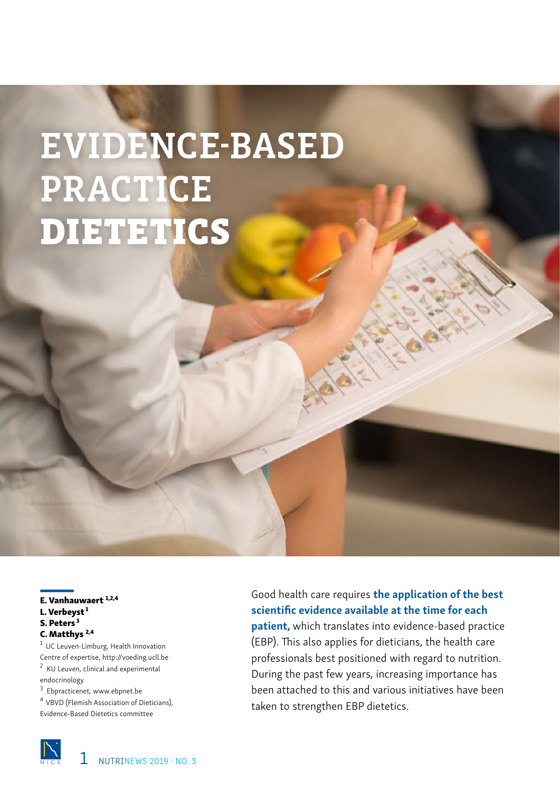# EVIDENCE-BASED PRACTICE DIETETICS

E. Vanhauwaert 1,2,4 L. Verbeyst<sup>1</sup> S. Peters<sup>3</sup> C. Matthys<sup>2,4</sup>

1 UC Leuven-Limburg, Health Innovation Centre of expertise, http://voeding.ucll.be <sup>2</sup> KU Leuven, clinical and experimental endocrinology

<sup>3</sup> Ebpracticenet, www.ebpnet.be

<sup>4</sup> VBVD (Flemish Association of Dieticians), Evidence-Based Dietetics committee

Good health care requires the application of the best scientific evidence available at the time for each patient, which translates into evidence-based practice (EBP). This also applies for dieticians, the health care professionals best positioned with regard to nutrition. During the past few years, increasing importance has been attached to this and various initiatives have been

taken to strengthen EBP dietetics.

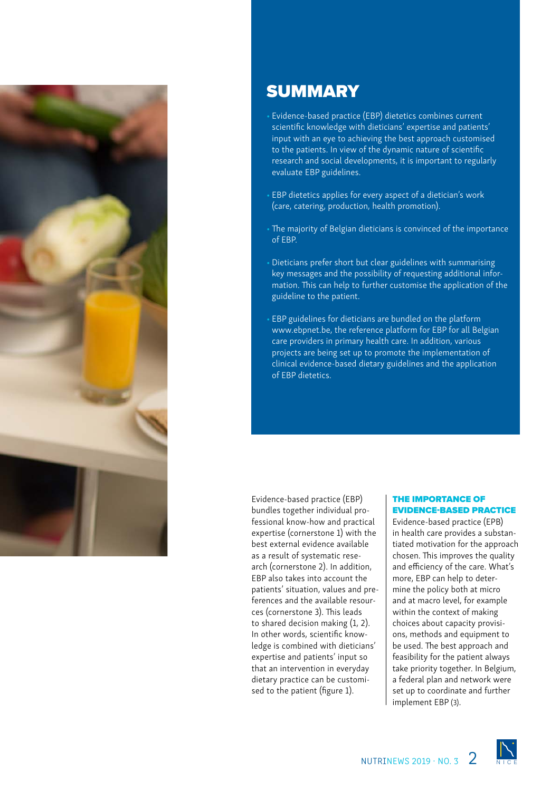

# **SUMMARY**

- Evidence-based practice (EBP) dietetics combines current scientific knowledge with dieticians' expertise and patients' input with an eye to achieving the best approach customised to the patients. In view of the dynamic nature of scientific research and social developments, it is important to regularly evaluate EBP guidelines.
- EBP dietetics applies for every aspect of a dietician's work (care, catering, production, health promotion).
- The majority of Belgian dieticians is convinced of the importance of EBP.
- Dieticians prefer short but clear guidelines with summarising key messages and the possibility of requesting additional information. This can help to further customise the application of the guideline to the patient.
- EBP guidelines for dieticians are bundled on the platform www.ebpnet.be, the reference platform for EBP for all Belgian care providers in primary health care. In addition, various projects are being set up to promote the implementation of clinical evidence-based dietary guidelines and the application of EBP dietetics.

Evidence-based practice (EBP) bundles together individual professional know-how and practical expertise (cornerstone 1) with the best external evidence available as a result of systematic research (cornerstone 2). In addition, EBP also takes into account the patients' situation, values and preferences and the available resources (cornerstone 3). This leads to shared decision making (1, 2). In other words, scientific knowledge is combined with dieticians' expertise and patients' input so that an intervention in everyday dietary practice can be customised to the patient (figure 1).

#### THE IMPORTANCE OF EVIDENCE-BASED PRACTICE

Evidence-based practice (EPB) in health care provides a substantiated motivation for the approach chosen. This improves the quality and efficiency of the care. What's more, EBP can help to determine the policy both at micro and at macro level, for example within the context of making choices about capacity provisions, methods and equipment to be used. The best approach and feasibility for the patient always take priority together. In Belgium, a federal plan and network were set up to coordinate and further implement EBP (3).

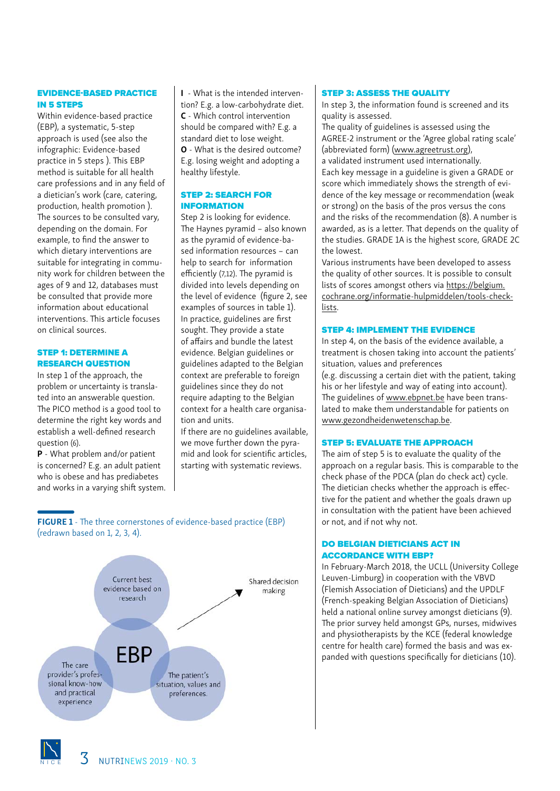# EVIDENCE-BASED PRACTICE IN 5 STEPS

Within evidence-based practice (EBP), a systematic, 5-step approach is used (see also the infographic: Evidence-based practice in 5 steps ). This EBP method is suitable for all health care professions and in any field of a dietician's work (care, catering, production, health promotion ). The sources to be consulted vary, depending on the domain. For example, to find the answer to which dietary interventions are suitable for integrating in community work for children between the ages of 9 and 12, databases must be consulted that provide more information about educational interventions. This article focuses on clinical sources.

#### STEP 1: DETERMINE A RESEARCH QUESTION

In step 1 of the approach, the problem or uncertainty is translated into an answerable question. The PICO method is a good tool to determine the right key words and establish a well-defined research question (6).

P - What problem and/or patient is concerned? E.g. an adult patient who is obese and has prediabetes and works in a varying shift system. I - What is the intended intervention? E.g. a low-carbohydrate diet. C - Which control intervention should be compared with? E.g. a standard diet to lose weight. O - What is the desired outcome? E.g. losing weight and adopting a healthy lifestyle.

## STEP 2: SEARCH FOR INFORMATION

Step 2 is looking for evidence. The Haynes pyramid – also known as the pyramid of evidence-based information resources – can help to search for information efficiently (7,12). The pyramid is divided into levels depending on the level of evidence (figure 2, see examples of sources in table 1). In practice, guidelines are first sought. They provide a state of affairs and bundle the latest evidence. Belgian guidelines or guidelines adapted to the Belgian context are preferable to foreign guidelines since they do not require adapting to the Belgian context for a health care organisation and units.

If there are no guidelines available, we move further down the pyramid and look for scientific articles, starting with systematic reviews.

# FIGURE 1 - The three cornerstones of evidence-based practice (EBP) (redrawn based on 1, 2, 3, 4).



# STEP 3: ASSESS THE QUALITY

In step 3, the information found is screened and its quality is assessed.

The quality of guidelines is assessed using the AGREE-2 instrument or the 'Agree global rating scale' (abbreviated form) [\(www.agreetrust.org](http://www.agreetrust.org)), a validated instrument used internationally. Each key message in a guideline is given a GRADE or score which immediately shows the strength of evidence of the key message or recommendation (weak or strong) on the basis of the pros versus the cons and the risks of the recommendation (8). A number is awarded, as is a letter. That depends on the quality of the studies. GRADE 1A is the highest score, GRADE 2C the lowest.

Various instruments have been developed to assess the quality of other sources. It is possible to consult lists of scores amongst others via [https://belgium.](https://belgium.cochrane.org/informatie-hulpmiddelen/tools-checklists) [cochrane.org/informatie-hulpmiddelen/tools-check](https://belgium.cochrane.org/informatie-hulpmiddelen/tools-checklists)[lists](https://belgium.cochrane.org/informatie-hulpmiddelen/tools-checklists).

#### STEP 4: IMPLEMENT THE EVIDENCE

In step 4, on the basis of the evidence available, a treatment is chosen taking into account the patients' situation, values and preferences (e.g. discussing a certain diet with the patient, taking his or her lifestyle and way of eating into account). The guidelines of [www.ebpnet.be](http://www.ebpnet.be) have been translated to make them understandable for patients on [www.gezondheidenwetenschap.be](http://www.gezondheidenwetenschap.be).

## STEP 5: EVALUATE THE APPROACH

The aim of step 5 is to evaluate the quality of the approach on a regular basis. This is comparable to the check phase of the PDCA (plan do check act) cycle. The dietician checks whether the approach is effective for the patient and whether the goals drawn up in consultation with the patient have been achieved or not, and if not why not.

# DO BELGIAN DIETICIANS ACT IN ACCORDANCE WITH EBP?

In February-March 2018, the UCLL (University College Leuven-Limburg) in cooperation with the VBVD (Flemish Association of Dieticians) and the UPDLF (French-speaking Belgian Association of Dieticians) held a national online survey amongst dieticians (9). The prior survey held amongst GPs, nurses, midwives and physiotherapists by the KCE (federal knowledge centre for health care) formed the basis and was expanded with questions specifically for dieticians (10).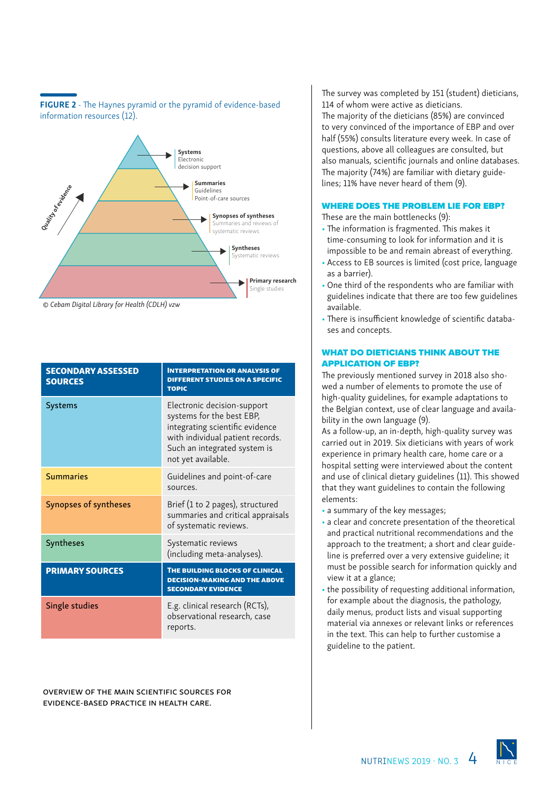

FIGURE 2 - The Haynes pyramid or the pyramid of evidence-based

*© Cebam Digital Library for Health (CDLH) vzw*

information resources (12).

| <b>SECONDARY ASSESSED</b><br><b>SOURCES</b> | <b>INTERPRETATION OR ANALYSIS OF</b><br><b>DIFFERENT STUDIES ON A SPECIFIC</b><br><b>TOPIC</b>                                                                                        |
|---------------------------------------------|---------------------------------------------------------------------------------------------------------------------------------------------------------------------------------------|
| <b>Systems</b>                              | Electronic decision-support<br>systems for the best EBP,<br>integrating scientific evidence<br>with individual patient records.<br>Such an integrated system is<br>not yet available. |
| <b>Summaries</b>                            | Guidelines and point-of-care<br>sources.                                                                                                                                              |
| Synopses of syntheses                       | Brief (1 to 2 pages), structured<br>summaries and critical appraisals<br>of systematic reviews.                                                                                       |
| Syntheses                                   | Systematic reviews<br>(including meta-analyses).                                                                                                                                      |
| <b>PRIMARY SOURCES</b>                      | THE BUILDING BLOCKS OF CLINICAL<br><b>DECISION-MAKING AND THE ABOVE</b><br><b>SECONDARY EVIDENCE</b>                                                                                  |
| Single studies                              | E.g. clinical research (RCTs),<br>observational research, case<br>reports.                                                                                                            |

Overview of the main scientific sources for evidence-based practice in health care.

The survey was completed by 151 (student) dieticians, 114 of whom were active as dieticians. The majority of the dieticians (85%) are convinced to very convinced of the importance of EBP and over half (55%) consults literature every week. In case of questions, above all colleagues are consulted, but also manuals, scientific journals and online databases. The majority (74%) are familiar with dietary guidelines; 11% have never heard of them (9).

#### WHERE DOES THE PROBLEM LIE FOR EBP?

These are the main bottlenecks (9):

- The information is fragmented. This makes it time-consuming to look for information and it is impossible to be and remain abreast of everything.
- Access to EB sources is limited (cost price, language as a barrier).
- One third of the respondents who are familiar with guidelines indicate that there are too few guidelines available.
- There is insufficient knowledge of scientific databases and concepts.

#### WHAT DO DIETICIANS THINK ABOUT THE APPLICATION OF EBP?

The previously mentioned survey in 2018 also showed a number of elements to promote the use of high-quality guidelines, for example adaptations to the Belgian context, use of clear language and availability in the own language (9).

As a follow-up, an in-depth, high-quality survey was carried out in 2019. Six dieticians with years of work experience in primary health care, home care or a hospital setting were interviewed about the content and use of clinical dietary guidelines (11). This showed that they want guidelines to contain the following elements:

- a summary of the key messages;
- a clear and concrete presentation of the theoretical and practical nutritional recommendations and the approach to the treatment; a short and clear guideline is preferred over a very extensive guideline; it must be possible search for information quickly and view it at a glance;
- the possibility of requesting additional information, for example about the diagnosis, the pathology, daily menus, product lists and visual supporting material via annexes or relevant links or references in the text. This can help to further customise a guideline to the patient.

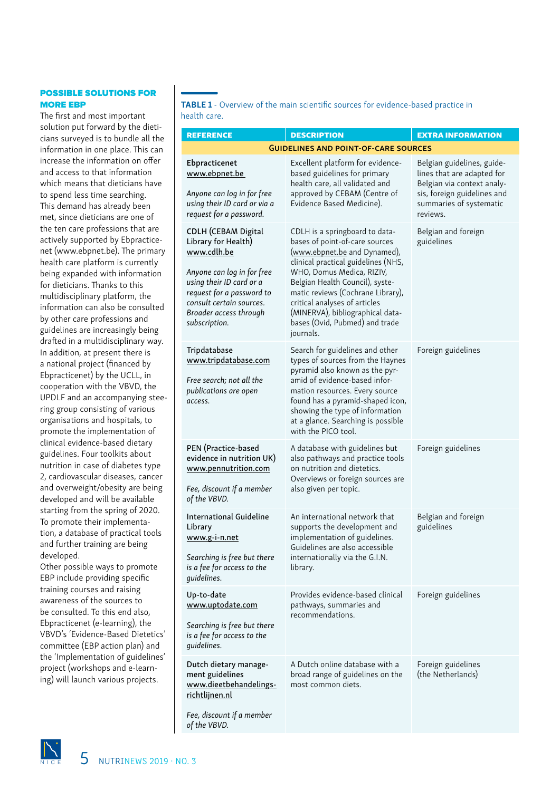# POSSIBLE SOLUTIONS FOR MORE EBP

The first and most important solution put forward by the dieticians surveyed is to bundle all the information in one place. This can increase the information on offer and access to that information which means that dieticians have to spend less time searching. This demand has already been met, since dieticians are one of the ten care professions that are actively supported by Ebpracticenet (www.ebpnet.be). The primary health care platform is currently being expanded with information for dieticians. Thanks to this multidisciplinary platform, the information can also be consulted by other care professions and guidelines are increasingly being drafted in a multidisciplinary way. In addition, at present there is a national project (financed by Ebpracticenet) by the UCLL, in cooperation with the VBVD, the UPDLF and an accompanying steering group consisting of various organisations and hospitals, to promote the implementation of clinical evidence-based dietary guidelines. Four toolkits about nutrition in case of diabetes type 2, cardiovascular diseases, cancer and overweight/obesity are being developed and will be available starting from the spring of 2020. To promote their implementation, a database of practical tools and further training are being developed.

Other possible ways to promote EBP include providing specific training courses and raising awareness of the sources to be consulted. To this end also, Ebpracticenet (e-learning), the VBVD's 'Evidence-Based Dietetics' committee (EBP action plan) and the 'Implementation of guidelines' project (workshops and e-learning) will launch various projects.

TABLE 1 - Overview of the main scientific sources for evidence-based practice in health care.

| <b>REFERENCE</b>                                                                                                                                                                                                               | <b>DESCRIPTION</b>                                                                                                                                                                                                                                                                                                                                               | <b>EXTRA INFORMATION</b>                                                                                                                                     |
|--------------------------------------------------------------------------------------------------------------------------------------------------------------------------------------------------------------------------------|------------------------------------------------------------------------------------------------------------------------------------------------------------------------------------------------------------------------------------------------------------------------------------------------------------------------------------------------------------------|--------------------------------------------------------------------------------------------------------------------------------------------------------------|
|                                                                                                                                                                                                                                | <b>GUIDELINES AND POINT-OF-CARE SOURCES</b>                                                                                                                                                                                                                                                                                                                      |                                                                                                                                                              |
| Ebpracticenet<br>www.ebpnet.be<br>Anyone can log in for free<br>using their ID card or via a<br>request for a password.                                                                                                        | Excellent platform for evidence-<br>based guidelines for primary<br>health care, all validated and<br>approved by CEBAM (Centre of<br>Evidence Based Medicine).                                                                                                                                                                                                  | Belgian guidelines, guide-<br>lines that are adapted for<br>Belgian via context analy-<br>sis, foreign guidelines and<br>summaries of systematic<br>reviews. |
| <b>CDLH (CEBAM Digital</b><br>Library for Health)<br>www.cdlh.be<br>Anyone can log in for free<br>using their ID card or a<br>request for a password to<br>consult certain sources.<br>Broader access through<br>subscription. | CDLH is a springboard to data-<br>bases of point-of-care sources<br>(www.ebpnet.be and Dynamed),<br>clinical practical guidelines (NHS,<br>WHO, Domus Medica, RIZIV,<br>Belgian Health Council), syste-<br>matic reviews (Cochrane Library),<br>critical analyses of articles<br>(MINERVA), bibliographical data-<br>bases (Ovid, Pubmed) and trade<br>journals. | Belgian and foreign<br>guidelines                                                                                                                            |
| Tripdatabase<br>www.tripdatabase.com<br>Free search; not all the<br>publications are open<br>access.                                                                                                                           | Search for guidelines and other<br>types of sources from the Haynes<br>pyramid also known as the pyr-<br>amid of evidence-based infor-<br>mation resources. Every source<br>found has a pyramid-shaped icon,<br>showing the type of information<br>at a glance. Searching is possible<br>with the PICO tool.                                                     | Foreign guidelines                                                                                                                                           |
| PEN (Practice-based<br>evidence in nutrition UK)<br>www.pennutrition.com<br>Fee, discount if a member<br>of the VBVD.                                                                                                          | A database with guidelines but<br>also pathways and practice tools<br>on nutrition and dietetics.<br>Overviews or foreign sources are<br>also given per topic.                                                                                                                                                                                                   | Foreign guidelines                                                                                                                                           |
| <b>International Guideline</b><br>Library<br>www.g-i-n.net<br>Searching is free but there<br>is a fee for access to the<br>guidelines.                                                                                         | An international network that<br>supports the development and<br>implementation of guidelines.<br>Guidelines are also accessible<br>internationally via the G.I.N.<br>library.                                                                                                                                                                                   | Belgian and foreign<br>guidelines                                                                                                                            |
| Up-to-date<br>www.uptodate.com<br>Searching is free but there<br>is a fee for access to the<br>guidelines.                                                                                                                     | Provides evidence-based clinical<br>pathways, summaries and<br>recommendations.                                                                                                                                                                                                                                                                                  | Foreign guidelines                                                                                                                                           |
| Dutch dietary manage-<br>ment guidelines<br>www.dieetbehandelings-<br><u>richtlijnen.nl</u>                                                                                                                                    | A Dutch online database with a<br>broad range of guidelines on the<br>most common diets.                                                                                                                                                                                                                                                                         | Foreign guidelines<br>(the Netherlands)                                                                                                                      |
| Fee, discount if a member<br>of the VBVD.                                                                                                                                                                                      |                                                                                                                                                                                                                                                                                                                                                                  |                                                                                                                                                              |

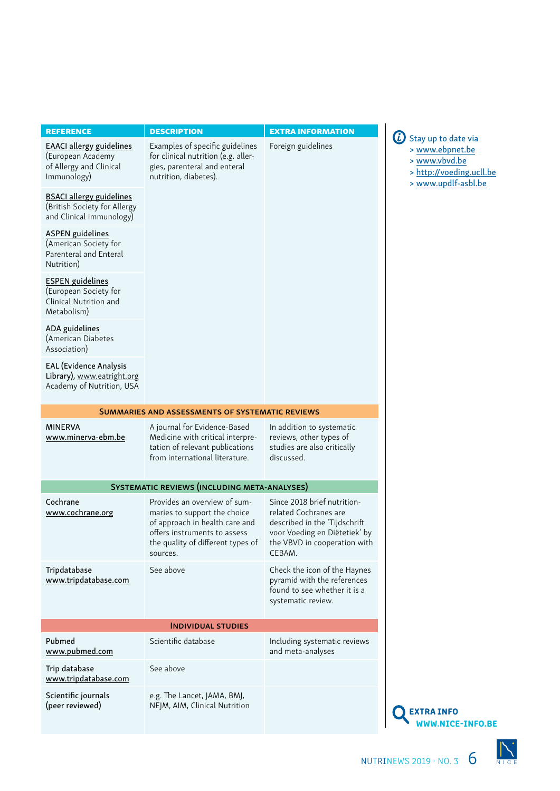| <b>REFERENCE</b>                                                                               | <b>DESCRIPTION</b>                                                                                                                                                              | <b>EXTRA INFORMATION</b>                                                                                                                                         | $\omega$<br>Stay up to date via                                                     |
|------------------------------------------------------------------------------------------------|---------------------------------------------------------------------------------------------------------------------------------------------------------------------------------|------------------------------------------------------------------------------------------------------------------------------------------------------------------|-------------------------------------------------------------------------------------|
| <b>EAACI allergy guidelines</b><br>(European Academy<br>of Allergy and Clinical<br>Immunology) | Examples of specific guidelines<br>for clinical nutrition (e.g. aller-<br>gies, parenteral and enteral<br>nutrition, diabetes).                                                 | Foreign guidelines                                                                                                                                               | > www.ebpnet.be<br>> www.vbvd.be<br>> http://voeding.ucll.be<br>> www.updlf-asbl.be |
| <b>BSACI allergy guidelines</b><br>(British Society for Allergy<br>and Clinical Immunology)    |                                                                                                                                                                                 |                                                                                                                                                                  |                                                                                     |
| <b>ASPEN</b> guidelines<br>(American Society for<br>Parenteral and Enteral<br>Nutrition)       |                                                                                                                                                                                 |                                                                                                                                                                  |                                                                                     |
| <b>ESPEN</b> guidelines<br>(European Society for<br>Clinical Nutrition and<br>Metabolism)      |                                                                                                                                                                                 |                                                                                                                                                                  |                                                                                     |
| <b>ADA</b> guidelines<br>(American Diabetes<br>Association)                                    |                                                                                                                                                                                 |                                                                                                                                                                  |                                                                                     |
| <b>EAL</b> (Evidence Analysis<br>Library), www.eatright.org<br>Academy of Nutrition, USA       |                                                                                                                                                                                 |                                                                                                                                                                  |                                                                                     |
|                                                                                                | SUMMARIES AND ASSESSMENTS OF SYSTEMATIC REVIEWS                                                                                                                                 |                                                                                                                                                                  |                                                                                     |
| <b>MINERVA</b><br>www.minerva-ebm.be                                                           | A journal for Evidence-Based<br>Medicine with critical interpre-<br>tation of relevant publications<br>from international literature.                                           | In addition to systematic<br>reviews, other types of<br>studies are also critically<br>discussed.                                                                |                                                                                     |
|                                                                                                | <b>SYSTEMATIC REVIEWS (INCLUDING META-ANALYSES)</b>                                                                                                                             |                                                                                                                                                                  |                                                                                     |
| Cochrane<br>www.cochrane.org                                                                   | Provides an overview of sum-<br>maries to support the choice<br>of approach in health care and<br>offers instruments to assess<br>the quality of different types of<br>sources. | Since 2018 brief nutrition-<br>related Cochranes are<br>described in the 'Tijdschrift<br>voor Voeding en Diëtetiek' by<br>the VBVD in cooperation with<br>CEBAM. |                                                                                     |
| Tripdatabase<br>www.tripdatabase.com                                                           | See above                                                                                                                                                                       | Check the icon of the Haynes<br>pyramid with the references<br>found to see whether it is a<br>systematic review.                                                |                                                                                     |
|                                                                                                | <b>INDIVIDUAL STUDIES</b>                                                                                                                                                       |                                                                                                                                                                  |                                                                                     |
| Pubmed<br>www.pubmed.com                                                                       | Scientific database                                                                                                                                                             | Including systematic reviews<br>and meta-analyses                                                                                                                |                                                                                     |
| Trip database<br>www.tripdatabase.com                                                          | See above                                                                                                                                                                       |                                                                                                                                                                  |                                                                                     |
| Scientific journals<br>(peer reviewed)                                                         | e.g. The Lancet, JAMA, BMJ,<br>NEJM, AIM, Clinical Nutrition                                                                                                                    |                                                                                                                                                                  | <b>EXTRA INFO</b><br><b>WWW.NICE-INFO.BE</b>                                        |

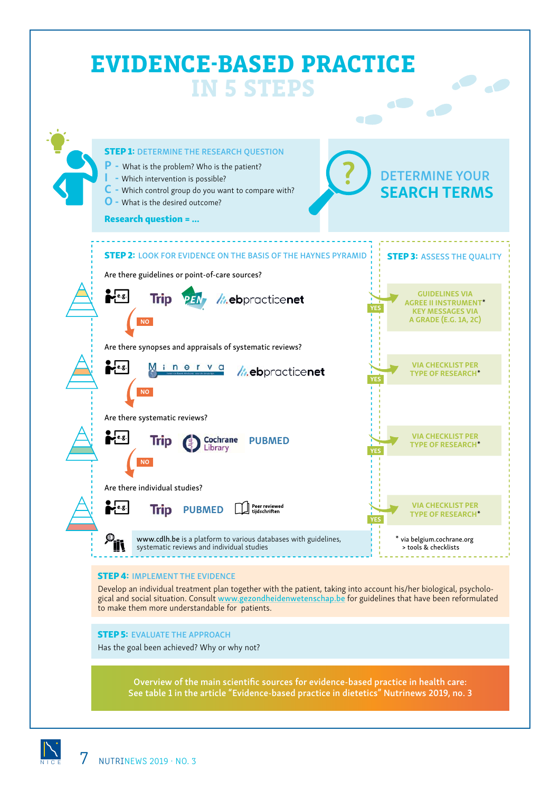

Has the goal been achieved? Why or why not?

Overview of the main scientific sources for evidence-based practice in health care: See table 1 in the article "Evidence-based practice in dietetics" Nutrinews 2019, no. 3